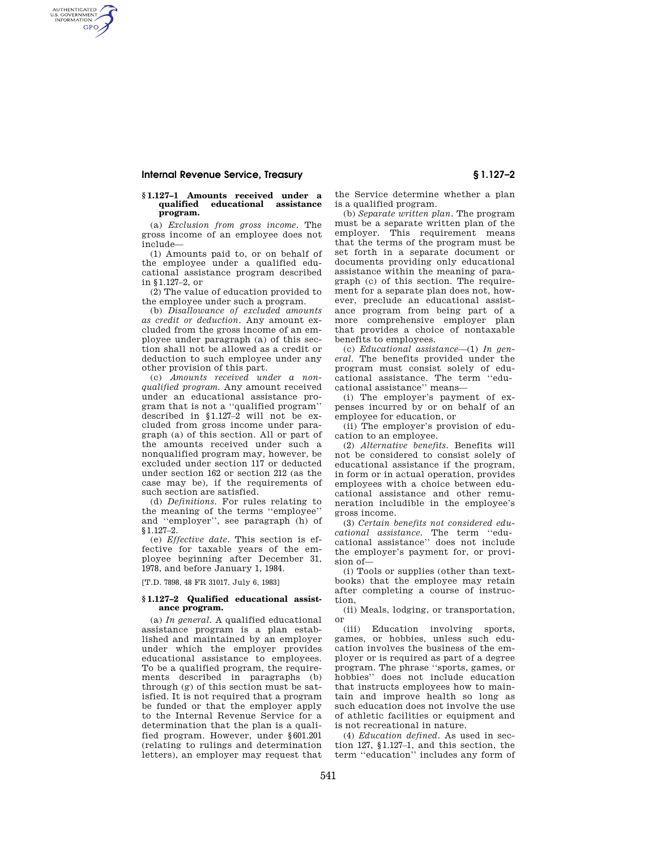# **Internal Revenue Service, Treasury § 1.127–2**

AUTHENTICATED<br>U.S. GOVERNMENT<br>INFORMATION **GPO** 

## **§ 1.127–1 Amounts received under a educational** assistance **program.**

(a) *Exclusion from gross income.* The gross income of an employee does not include—

(1) Amounts paid to, or on behalf of the employee under a qualified educational assistance program described in §1.127–2, or

(2) The value of education provided to the employee under such a program.

(b) *Disallowance of excluded amounts as credit or deduction.* Any amount excluded from the gross income of an employee under paragraph (a) of this section shall not be allowed as a credit or deduction to such employee under any other provision of this part.

(c) *Amounts received under a nonqualified program.* Any amount received under an educational assistance program that is not a ''qualified program'' described in §1.127–2 will not be excluded from gross income under paragraph (a) of this section. All or part of the amounts received under such a nonqualified program may, however, be excluded under section 117 or deducted under section 162 or section 212 (as the case may be), if the requirements of such section are satisfied.

(d) *Definitions.* For rules relating to the meaning of the terms ''employee'' and ''employer'', see paragraph (h) of §1.127–2.

(e) *Effective date.* This section is effective for taxable years of the employee beginning after December 31, 1978, and before January 1, 1984.

[T.D. 7898, 48 FR 31017, July 6, 1983]

# **§ 1.127–2 Qualified educational assistance program.**

(a) *In general.* A qualified educational assistance program is a plan established and maintained by an employer under which the employer provides educational assistance to employees. To be a qualified program, the requirements described in paragraphs (b) through (g) of this section must be satisfied. It is not required that a program be funded or that the employer apply to the Internal Revenue Service for a determination that the plan is a qualified program. However, under §601.201 (relating to rulings and determination letters), an employer may request that

the Service determine whether a plan is a qualified program.

(b) *Separate written plan.* The program must be a separate written plan of the employer. This requirement means that the terms of the program must be set forth in a separate document or documents providing only educational assistance within the meaning of paragraph (c) of this section. The requirement for a separate plan does not, however, preclude an educational assistance program from being part of a more comprehensive employer plan that provides a choice of nontaxable benefits to employees.

(c) *Educational assistance*—(1) *In general.* The benefits provided under the program must consist solely of educational assistance. The term ''educational assistance'' means—

(i) The employer's payment of expenses incurred by or on behalf of an employee for education, or

(ii) The employer's provision of education to an employee.

(2) *Alternative benefits.* Benefits will not be considered to consist solely of educational assistance if the program, in form or in actual operation, provides employees with a choice between educational assistance and other remuneration includible in the employee's gross income.

(3) *Certain benefits not considered educational assistance.* The term ''educational assistance'' does not include the employer's payment for, or provision of—

(i) Tools or supplies (other than textbooks) that the employee may retain after completing a course of instruction,

(ii) Meals, lodging, or transportation, or

(iii) Education involving sports, games, or hobbies, unless such education involves the business of the employer or is required as part of a degree program. The phrase ''sports, games, or hobbies'' does not include education that instructs employees how to maintain and improve health so long as such education does not involve the use of athletic facilities or equipment and is not recreational in nature.

(4) *Education defined.* As used in section 127, §1.127–1, and this section, the term ''education'' includes any form of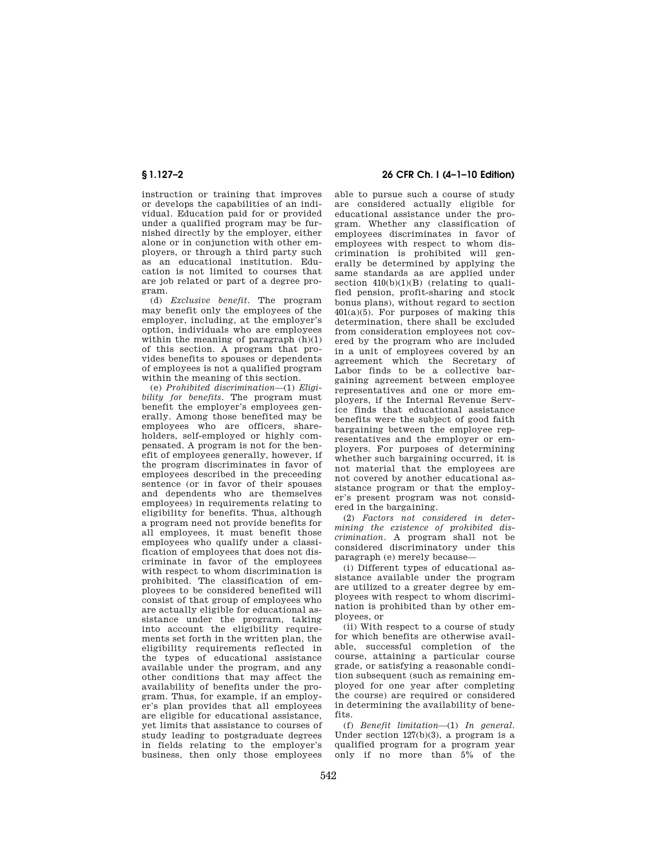instruction or training that improves or develops the capabilities of an individual. Education paid for or provided under a qualified program may be furnished directly by the employer, either alone or in conjunction with other employers, or through a third party such as an educational institution. Education is not limited to courses that are job related or part of a degree program.

(d) *Exclusive benefit.* The program may benefit only the employees of the employer, including, at the employer's option, individuals who are employees within the meaning of paragraph  $(h)(1)$ of this section. A program that provides benefits to spouses or dependents of employees is not a qualified program within the meaning of this section.

(e) *Prohibited discrimination*—(1) *Eligibility for benefits.* The program must benefit the employer's employees generally. Among those benefited may be employees who are officers, shareholders, self-employed or highly compensated. A program is not for the benefit of employees generally, however, if the program discriminates in favor of employees described in the preceeding sentence (or in favor of their spouses and dependents who are themselves employees) in requirements relating to eligibility for benefits. Thus, although a program need not provide benefits for all employees, it must benefit those employees who qualify under a classification of employees that does not discriminate in favor of the employees with respect to whom discrimination is prohibited. The classification of employees to be considered benefited will consist of that group of employees who are actually eligible for educational assistance under the program, taking into account the eligibility requirements set forth in the written plan, the eligibility requirements reflected in the types of educational assistance available under the program, and any other conditions that may affect the availability of benefits under the program. Thus, for example, if an employer's plan provides that all employees are eligible for educational assistance, yet limits that assistance to courses of study leading to postgraduate degrees in fields relating to the employer's business, then only those employees

# **§ 1.127–2 26 CFR Ch. I (4–1–10 Edition)**

able to pursue such a course of study are considered actually eligible for educational assistance under the program. Whether any classification of employees discriminates in favor of employees with respect to whom discrimination is prohibited will generally be determined by applying the same standards as are applied under section  $410(b)(1)(B)$  (relating to qualified pension, profit-sharing and stock bonus plans), without regard to section  $401(a)(5)$ . For purposes of making this determination, there shall be excluded from consideration employees not covered by the program who are included in a unit of employees covered by an agreement which the Secretary of Labor finds to be a collective bargaining agreement between employee representatives and one or more employers, if the Internal Revenue Service finds that educational assistance benefits were the subject of good faith bargaining between the employee representatives and the employer or employers. For purposes of determining whether such bargaining occurred, it is not material that the employees are not covered by another educational assistance program or that the employer's present program was not considered in the bargaining.

(2) *Factors not considered in determining the existence of prohibited discrimination.* A program shall not be considered discriminatory under this paragraph (e) merely because—

(i) Different types of educational assistance available under the program are utilized to a greater degree by employees with respect to whom discrimination is prohibited than by other employees, or

(ii) With respect to a course of study for which benefits are otherwise available, successful completion of the course, attaining a particular course grade, or satisfying a reasonable condition subsequent (such as remaining employed for one year after completing the course) are required or considered in determining the availability of benefits.

(f) *Benefit limitation*—(1) *In general.*  Under section 127(b)(3), a program is a qualified program for a program year only if no more than 5% of the